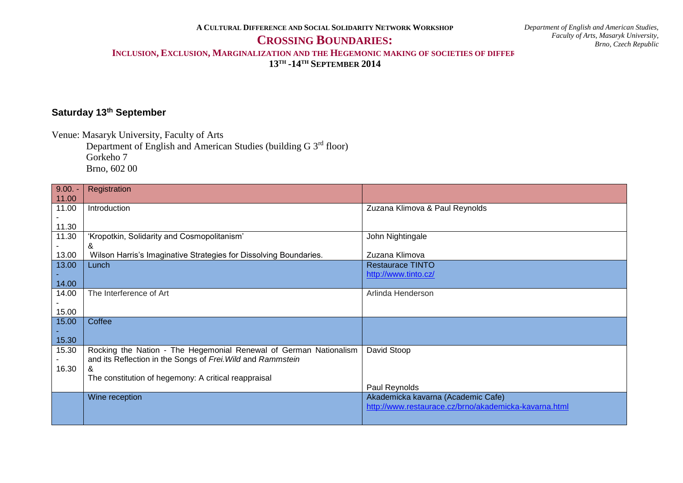**A CULTURAL DIFFERENCE AND SOCIAL SOLIDARITY NETWORK WORKSHOP**

## **CROSSING BOUNDARIES:**

*Department of English and American Studies, Faculty of Arts, Masaryk University, Brno, Czech Republic*

**INCLUSION, EXCLUSION, MARGINALIZATION AND THE HEGEMONIC MAKING OF SOCIETIES OF DIFFERENCE**

**13TH -14TH SEPTEMBER 2014**

## **Saturday 13th September**

Venue: Masaryk University, Faculty of Arts

Department of English and American Studies (building G 3rd floor) Gorkeho 7 Brno, 602 00

| $9.00. -$ | Registration                                                      |                                                       |
|-----------|-------------------------------------------------------------------|-------------------------------------------------------|
| 11.00     |                                                                   |                                                       |
| 11.00     | Introduction                                                      | Zuzana Klimova & Paul Reynolds                        |
|           |                                                                   |                                                       |
| 11.30     |                                                                   |                                                       |
| 11.30     | 'Kropotkin, Solidarity and Cosmopolitanism'                       | John Nightingale                                      |
|           | &                                                                 |                                                       |
| 13.00     | Wilson Harris's Imaginative Strategies for Dissolving Boundaries. | Zuzana Klimova                                        |
| 13.00     | Lunch                                                             | <b>Restaurace TINTO</b>                               |
|           |                                                                   | http://www.tinto.cz/                                  |
| 14.00     |                                                                   |                                                       |
| 14.00     | The Interference of Art                                           | Arlinda Henderson                                     |
|           |                                                                   |                                                       |
| 15.00     |                                                                   |                                                       |
| 15.00     | Coffee                                                            |                                                       |
|           |                                                                   |                                                       |
| 15.30     |                                                                   |                                                       |
| 15.30     | Rocking the Nation - The Hegemonial Renewal of German Nationalism | David Stoop                                           |
|           | and its Reflection in the Songs of Frei. Wild and Rammstein       |                                                       |
| 16.30     |                                                                   |                                                       |
|           | The constitution of hegemony: A critical reappraisal              |                                                       |
|           |                                                                   | Paul Reynolds                                         |
|           | Wine reception                                                    | Akademicka kavarna (Academic Cafe)                    |
|           |                                                                   | http://www.restaurace.cz/brno/akademicka-kavarna.html |
|           |                                                                   |                                                       |
|           |                                                                   |                                                       |